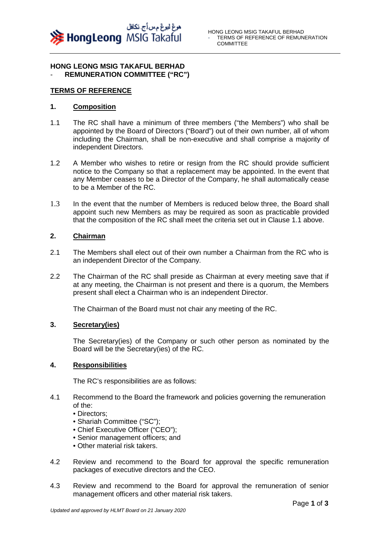

## **HONG LEONG MSIG TAKAFUL BERHAD**  - **REMUNERATION COMMITTEE ("RC")**

## **TERMS OF REFERENCE**

## **1. Composition**

- 1.1 The RC shall have a minimum of three members ("the Members") who shall be appointed by the Board of Directors ("Board") out of their own number, all of whom including the Chairman, shall be non-executive and shall comprise a majority of independent Directors.
- 1.2 A Member who wishes to retire or resign from the RC should provide sufficient notice to the Company so that a replacement may be appointed. In the event that any Member ceases to be a Director of the Company, he shall automatically cease to be a Member of the RC.
- 1.3 In the event that the number of Members is reduced below three, the Board shall appoint such new Members as may be required as soon as practicable provided that the composition of the RC shall meet the criteria set out in Clause 1.1 above.

## **2. Chairman**

- 2.1 The Members shall elect out of their own number a Chairman from the RC who is an independent Director of the Company.
- 2.2 The Chairman of the RC shall preside as Chairman at every meeting save that if at any meeting, the Chairman is not present and there is a quorum, the Members present shall elect a Chairman who is an independent Director.

The Chairman of the Board must not chair any meeting of the RC.

## **3. Secretary(ies)**

The Secretary(ies) of the Company or such other person as nominated by the Board will be the Secretary(ies) of the RC.

## **4. Responsibilities**

The RC's responsibilities are as follows:

- 4.1 Recommend to the Board the framework and policies governing the remuneration of the:
	- Directors;
	- Shariah Committee ("SC");
	- Chief Executive Officer ("CEO");
	- Senior management officers; and
	- Other material risk takers.
- 4.2 Review and recommend to the Board for approval the specific remuneration packages of executive directors and the CEO.
- 4.3 Review and recommend to the Board for approval the remuneration of senior management officers and other material risk takers.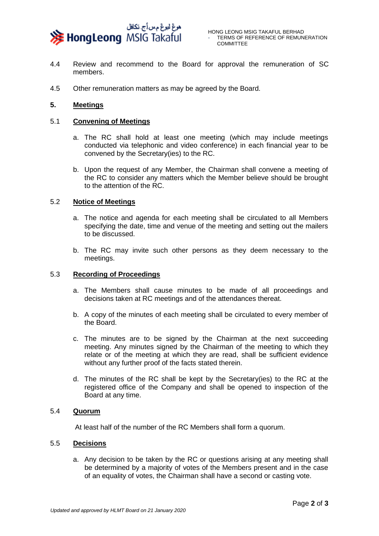

- 4.4 Review and recommend to the Board for approval the remuneration of SC members.
- 4.5 Other remuneration matters as may be agreed by the Board.

## **5. Meetings**

### 5.1 **Convening of Meetings**

- a. The RC shall hold at least one meeting (which may include meetings conducted via telephonic and video conference) in each financial year to be convened by the Secretary(ies) to the RC.
- b. Upon the request of any Member, the Chairman shall convene a meeting of the RC to consider any matters which the Member believe should be brought to the attention of the RC.

#### 5.2 **Notice of Meetings**

- a. The notice and agenda for each meeting shall be circulated to all Members specifying the date, time and venue of the meeting and setting out the mailers to be discussed.
- b. The RC may invite such other persons as they deem necessary to the meetings.

## 5.3 **Recording of Proceedings**

- a. The Members shall cause minutes to be made of all proceedings and decisions taken at RC meetings and of the attendances thereat.
- b. A copy of the minutes of each meeting shall be circulated to every member of the Board.
- c. The minutes are to be signed by the Chairman at the next succeeding meeting. Any minutes signed by the Chairman of the meeting to which they relate or of the meeting at which they are read, shall be sufficient evidence without any further proof of the facts stated therein.
- d. The minutes of the RC shall be kept by the Secretary(ies) to the RC at the registered office of the Company and shall be opened to inspection of the Board at any time.

## 5.4 **Quorum**

At least half of the number of the RC Members shall form a quorum.

## 5.5 **Decisions**

a. Any decision to be taken by the RC or questions arising at any meeting shall be determined by a majority of votes of the Members present and in the case of an equality of votes, the Chairman shall have a second or casting vote.